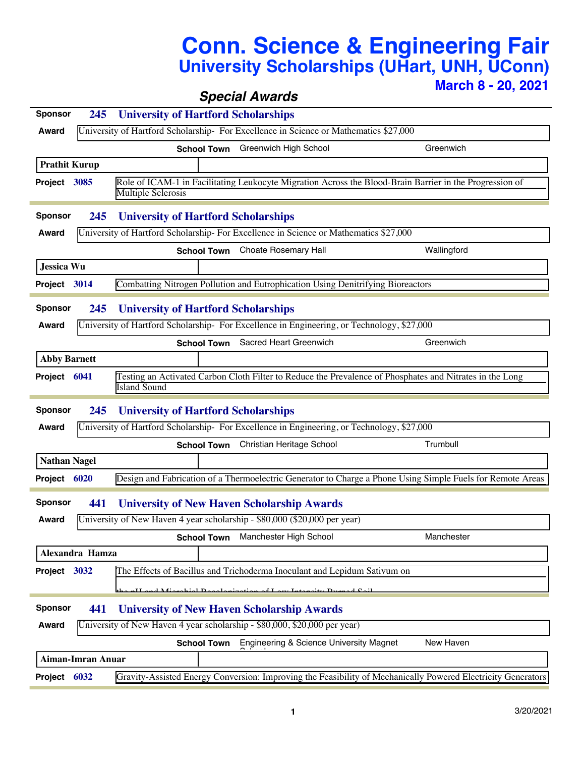## **Conn. Science & Engineering Fair University Scholarships (UHart, UNH, UConn)**

**March 8 - 20, 2021**

|                                                                            |                                                                                                                                      |                                                                                                                                                 | <b>Special Awards</b>                                                                                        |             |  |  |  |  |
|----------------------------------------------------------------------------|--------------------------------------------------------------------------------------------------------------------------------------|-------------------------------------------------------------------------------------------------------------------------------------------------|--------------------------------------------------------------------------------------------------------------|-------------|--|--|--|--|
| <b>Sponsor</b>                                                             | 245                                                                                                                                  | <b>University of Hartford Scholarships</b>                                                                                                      |                                                                                                              |             |  |  |  |  |
| Award                                                                      | University of Hartford Scholarship- For Excellence in Science or Mathematics \$27,000                                                |                                                                                                                                                 |                                                                                                              |             |  |  |  |  |
|                                                                            |                                                                                                                                      | <b>School Town</b>                                                                                                                              | Greenwich High School                                                                                        | Greenwich   |  |  |  |  |
| <b>Prathit Kurup</b>                                                       |                                                                                                                                      |                                                                                                                                                 |                                                                                                              |             |  |  |  |  |
| Project 3085                                                               | Role of ICAM-1 in Facilitating Leukocyte Migration Across the Blood-Brain Barrier in the Progression of<br><b>Multiple Sclerosis</b> |                                                                                                                                                 |                                                                                                              |             |  |  |  |  |
| <b>Sponsor</b>                                                             | 245                                                                                                                                  | <b>University of Hartford Scholarships</b>                                                                                                      |                                                                                                              |             |  |  |  |  |
| <b>Award</b>                                                               | University of Hartford Scholarship- For Excellence in Science or Mathematics \$27,000                                                |                                                                                                                                                 |                                                                                                              |             |  |  |  |  |
|                                                                            |                                                                                                                                      |                                                                                                                                                 | <b>School Town</b> Choate Rosemary Hall                                                                      | Wallingford |  |  |  |  |
| <b>Jessica Wu</b>                                                          |                                                                                                                                      |                                                                                                                                                 |                                                                                                              |             |  |  |  |  |
| Project 3014                                                               |                                                                                                                                      |                                                                                                                                                 | Combatting Nitrogen Pollution and Eutrophication Using Denitrifying Bioreactors                              |             |  |  |  |  |
| <b>Sponsor</b>                                                             |                                                                                                                                      |                                                                                                                                                 |                                                                                                              |             |  |  |  |  |
| Award                                                                      |                                                                                                                                      | <b>University of Hartford Scholarships</b><br>245<br>University of Hartford Scholarship- For Excellence in Engineering, or Technology, \$27,000 |                                                                                                              |             |  |  |  |  |
|                                                                            |                                                                                                                                      |                                                                                                                                                 |                                                                                                              |             |  |  |  |  |
|                                                                            |                                                                                                                                      | <b>School Town</b>                                                                                                                              | Sacred Heart Greenwich                                                                                       | Greenwich   |  |  |  |  |
| <b>Abby Barnett</b>                                                        |                                                                                                                                      |                                                                                                                                                 |                                                                                                              |             |  |  |  |  |
| Project 6041                                                               |                                                                                                                                      | <b>Island Sound</b>                                                                                                                             | Testing an Activated Carbon Cloth Filter to Reduce the Prevalence of Phosphates and Nitrates in the Long     |             |  |  |  |  |
|                                                                            |                                                                                                                                      |                                                                                                                                                 |                                                                                                              |             |  |  |  |  |
| <b>Sponsor</b>                                                             | <b>University of Hartford Scholarships</b><br>245                                                                                    |                                                                                                                                                 |                                                                                                              |             |  |  |  |  |
| Award                                                                      | University of Hartford Scholarship- For Excellence in Engineering, or Technology, \$27,000                                           |                                                                                                                                                 |                                                                                                              |             |  |  |  |  |
|                                                                            |                                                                                                                                      |                                                                                                                                                 | School Town Christian Heritage School                                                                        | Trumbull    |  |  |  |  |
| <b>Nathan Nagel</b>                                                        |                                                                                                                                      |                                                                                                                                                 |                                                                                                              |             |  |  |  |  |
| Project 6020                                                               |                                                                                                                                      |                                                                                                                                                 | Design and Fabrication of a Thermoelectric Generator to Charge a Phone Using Simple Fuels for Remote Areas   |             |  |  |  |  |
| <b>Sponsor</b>                                                             | 441                                                                                                                                  | <b>University of New Haven Scholarship Awards</b>                                                                                               |                                                                                                              |             |  |  |  |  |
|                                                                            |                                                                                                                                      |                                                                                                                                                 | Award <b>University of New Haven 4 year scholarship</b> - \$80,000 (\$20,000 per year)                       |             |  |  |  |  |
|                                                                            |                                                                                                                                      | <b>School Town</b>                                                                                                                              | Manchester High School                                                                                       | Manchester  |  |  |  |  |
| Alexandra Hamza                                                            |                                                                                                                                      |                                                                                                                                                 |                                                                                                              |             |  |  |  |  |
| Project 3032                                                               |                                                                                                                                      |                                                                                                                                                 | The Effects of Bacillus and Trichoderma Inoculant and Lepidum Sativum on                                     |             |  |  |  |  |
|                                                                            |                                                                                                                                      |                                                                                                                                                 | سىدا خەنبە                                                                                                   |             |  |  |  |  |
| <b>Sponsor</b><br><b>University of New Haven Scholarship Awards</b><br>441 |                                                                                                                                      |                                                                                                                                                 |                                                                                                              |             |  |  |  |  |
| <b>Award</b>                                                               | University of New Haven 4 year scholarship - \$80,000, \$20,000 per year)                                                            |                                                                                                                                                 |                                                                                                              |             |  |  |  |  |
| <b>School Town</b> Engineering & Science University Magnet<br>New Haven    |                                                                                                                                      |                                                                                                                                                 |                                                                                                              |             |  |  |  |  |
| <b>Aiman-Imran Anuar</b>                                                   |                                                                                                                                      |                                                                                                                                                 |                                                                                                              |             |  |  |  |  |
| Project 6032                                                               |                                                                                                                                      |                                                                                                                                                 | Gravity-Assisted Energy Conversion: Improving the Feasibility of Mechanically Powered Electricity Generators |             |  |  |  |  |